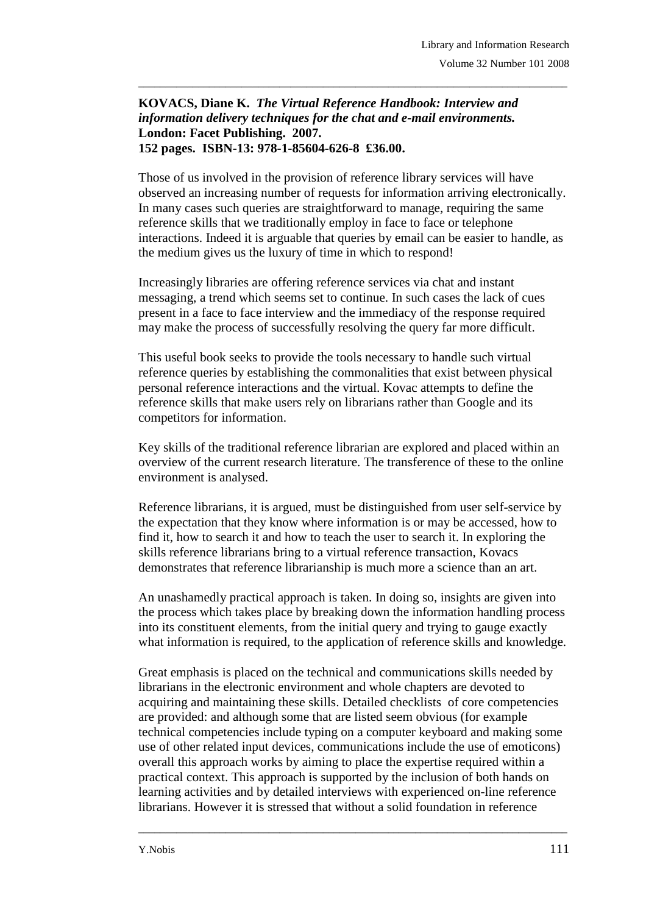## **KOVACS, Diane K.** *The Virtual Reference Handbook: Interview and information delivery techniques for the chat and e-mail environments.*  **London: Facet Publishing. 2007. 152 pages. ISBN-13: 978-1-85604-626-8 £36.00.**

Those of us involved in the provision of reference library services will have observed an increasing number of requests for information arriving electronically. In many cases such queries are straightforward to manage, requiring the same reference skills that we traditionally employ in face to face or telephone interactions. Indeed it is arguable that queries by email can be easier to handle, as the medium gives us the luxury of time in which to respond!

\_\_\_\_\_\_\_\_\_\_\_\_\_\_\_\_\_\_\_\_\_\_\_\_\_\_\_\_\_\_\_\_\_\_\_\_\_\_\_\_\_\_\_\_\_\_\_\_\_\_\_\_\_\_\_\_\_\_\_\_\_\_\_\_\_\_\_\_\_\_\_\_\_\_\_\_\_\_\_

Increasingly libraries are offering reference services via chat and instant messaging, a trend which seems set to continue. In such cases the lack of cues present in a face to face interview and the immediacy of the response required may make the process of successfully resolving the query far more difficult.

This useful book seeks to provide the tools necessary to handle such virtual reference queries by establishing the commonalities that exist between physical personal reference interactions and the virtual. Kovac attempts to define the reference skills that make users rely on librarians rather than Google and its competitors for information.

Key skills of the traditional reference librarian are explored and placed within an overview of the current research literature. The transference of these to the online environment is analysed.

Reference librarians, it is argued, must be distinguished from user self-service by the expectation that they know where information is or may be accessed, how to find it, how to search it and how to teach the user to search it. In exploring the skills reference librarians bring to a virtual reference transaction, Kovacs demonstrates that reference librarianship is much more a science than an art.

An unashamedly practical approach is taken. In doing so, insights are given into the process which takes place by breaking down the information handling process into its constituent elements, from the initial query and trying to gauge exactly what information is required, to the application of reference skills and knowledge.

Great emphasis is placed on the technical and communications skills needed by librarians in the electronic environment and whole chapters are devoted to acquiring and maintaining these skills. Detailed checklists of core competencies are provided: and although some that are listed seem obvious (for example technical competencies include typing on a computer keyboard and making some use of other related input devices, communications include the use of emoticons) overall this approach works by aiming to place the expertise required within a practical context. This approach is supported by the inclusion of both hands on learning activities and by detailed interviews with experienced on-line reference librarians. However it is stressed that without a solid foundation in reference

\_\_\_\_\_\_\_\_\_\_\_\_\_\_\_\_\_\_\_\_\_\_\_\_\_\_\_\_\_\_\_\_\_\_\_\_\_\_\_\_\_\_\_\_\_\_\_\_\_\_\_\_\_\_\_\_\_\_\_\_\_\_\_\_\_\_\_\_\_\_\_\_\_\_\_\_\_\_\_